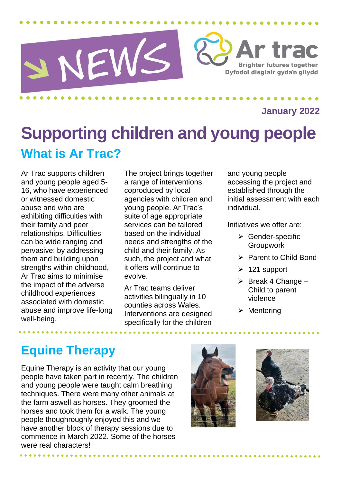

**January 2022**

## **Supporting children and young people What is Ar Trac?**

Ar Trac supports children and young people aged 5- 16, who have experienced or witnessed domestic abuse and who are exhibiting difficulties with their family and peer relationships. Difficulties can be wide ranging and pervasive; by addressing them and building upon strengths within childhood. Ar Trac aims to minimise the impact of the adverse childhood experiences associated with domestic abuse and improve life-long well-being.

The project brings together a range of interventions, coproduced by local agencies with children and young people. Ar Trac's suite of age appropriate services can be tailored based on the individual needs and strengths of the child and their family. As such, the project and what it offers will continue to evolve.

Ar Trac teams deliver activities bilingually in 10 counties across Wales. Interventions are designed specifically for the children

and young people accessing the project and established through the initial assessment with each individual.

Initiatives we offer are:

- ➢ Gender-specific Groupwork
- ➢ Parent to Child Bond
- $\geq 121$  support
- $\triangleright$  Break 4 Change Child to parent violence
- ➢ Mentoring

## **Equine Therapy**

Equine Therapy is an activity that our young people have taken part in recently. The children and young people were taught calm breathing techniques. There were many other animals at the farm aswell as horses. They groomed the horses and took them for a walk. The young people thoughroughly enjoyed this and we have another block of therapy sessions due to commence in March 2022. Some of the horses were real characters!